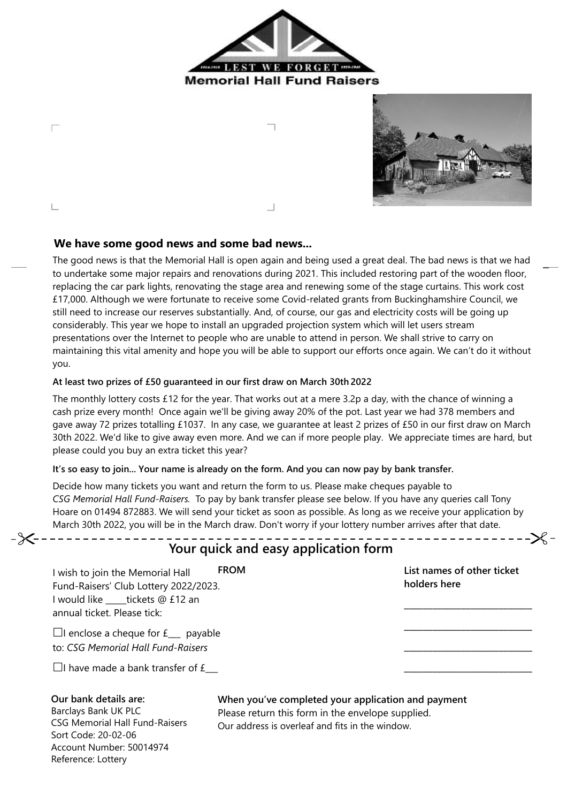



# **We have some good news and some bad news...**

Г

 $\mathbb{L}$ 

The good news is that the Memorial Hall is open again and being used a great deal. The bad news is that we had to undertake some major repairs and renovations during 2021. This included restoring part of the wooden floor, replacing the car park lights, renovating the stage area and renewing some of the stage curtains. This work cost £17,000. Although we were fortunate to receive some Covid-related grants from Buckinghamshire Council, we still need to increase our reserves substantially. And, of course, our gas and electricity costs will be going up considerably. This year we hope to install an upgraded projection system which will let users stream presentations over the Internet to people who are unable to attend in person. We shall strive to carry on maintaining this vital amenity and hope you will be able to support our efforts once again. We can't do it without you.

### **At least two prizes of £50 guaranteed in our first draw on March 30th 2022**

The monthly lottery costs £12 for the year. That works out at a mere 3.2p a day, with the chance of winning a cash prize every month! Once again we'll be giving away 20% of the pot. Last year we had 378 members and gave away 72 prizes totalling £1037. In any case, we guarantee at least 2 prizes of £50 in our first draw on March 30th 2022. We'd like to give away even more. And we can if more people play. We appreciate times are hard, but please could you buy an extra ticket this year?

### **It's so easy to join... Your name is already on the form. And you can now pay by bank transfer.**

Decide how many tickets you want and return the form to us. Please make cheques payable to *CSG Memorial Hall Fund-Raisers.* To pay by bank transfer please see below. If you have any queries call Tony Hoare on 01494 872883. We will send your ticket as soon as possible. As long as we receive your application by March 30th 2022, you will be in the March draw. Don't worry if your lottery number arrives after that date.

| <b>FROM</b><br>wish to join the Memorial Hall<br>Fund-Raisers' Club Lottery 2022/2023.<br>would like ____tickets @ £12 an<br>annual ticket. Please tick: | List names of other ticket<br>holders here |
|----------------------------------------------------------------------------------------------------------------------------------------------------------|--------------------------------------------|
| $\Box$ I enclose a cheque for $f_{\_\_\_}$ payable<br>to: CSG Memorial Hall Fund-Raisers                                                                 |                                            |

### **Our bank details are:**

Barclays Bank UK PLC CSG Memorial Hall Fund-Raisers Sort Code: 20-02-06 Account Number: 50014974 Reference: Lottery

# **When you've completed your application and payment**

Please return this form in the envelope supplied. Our address is overleaf and fits in the window.